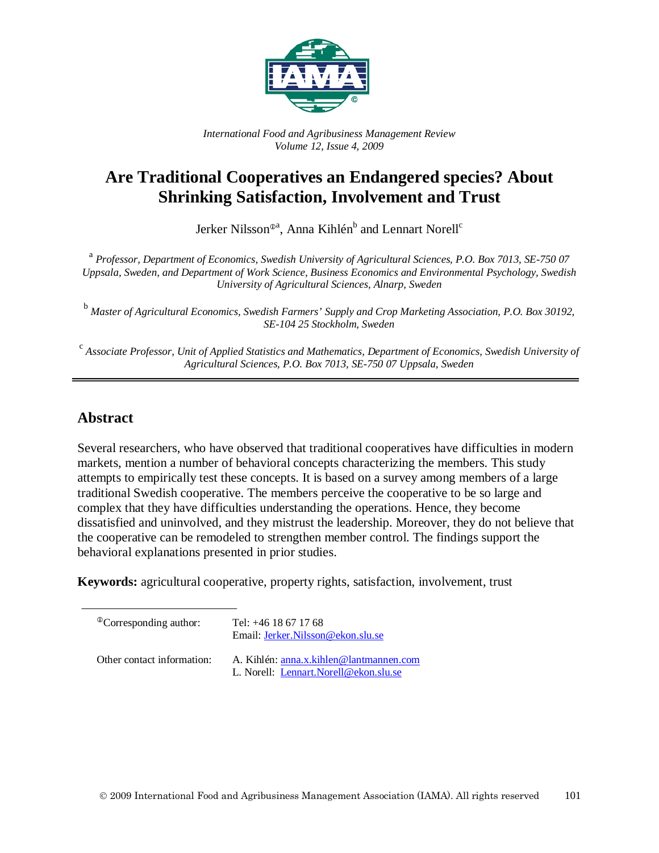

*International Food and Agribusiness Management Review Volume 12, Issue 4, 2009*

# **Are Traditional Cooperatives an Endangered species? About Shrinking Satisfaction, Involvement and Trust**

Jerker Nilsson®ª, Anna Kihlén $^{\rm b}$  and Lennart Norell $^{\rm c}$ 

<sup>a</sup> *Professor, Department of Economics, Swedish University of Agricultural Sciences, P.O. Box 7013, SE-750 07 Uppsala, Sweden, and Department of Work Science, Business Economics and Environmental Psychology, Swedish University of Agricultural Sciences, Alnarp, Sweden*

<sup>b</sup> *Master of Agricultural Economics, Swedish Farmers' Supply and Crop Marketing Association, P.O. Box 30192, SE-104 25 Stockholm, Sweden*

<sup>c</sup> *Associate Professor, Unit of Applied Statistics and Mathematics, Department of Economics, Swedish University of Agricultural Sciences, P.O. Box 7013, SE-750 07 Uppsala, Sweden*

### **Abstract**

Several researchers, who have observed that traditional cooperatives have difficulties in modern markets, mention a number of behavioral concepts characterizing the members. This study attempts to empirically test these concepts. It is based on a survey among members of a large traditional Swedish cooperative. The members perceive the cooperative to be so large and complex that they have difficulties understanding the operations. Hence, they become dissatisfied and uninvolved, and they mistrust the leadership. Moreover, they do not believe that the cooperative can be remodeled to strengthen member control. The findings support the behavioral explanations presented in prior studies.

**Keywords:** agricultural cooperative, property rights, satisfaction, involvement, trust

 $^{\circ}$ Corresponding author: Tel: +46 18 67 17 68 Email: [Jerker.Nilsson@ekon.slu.se](mailto:Jerker.Nilsson@ekon.slu.se) Other contact information: A. Kihlén[: anna.x.kihlen@lantmannen.com](mailto:anna.x.kihlen@lantmannen.com) L. Norell: [Lennart.Norell@ekon.slu.se](mailto:Lennart.Norell@ekon.slu.se)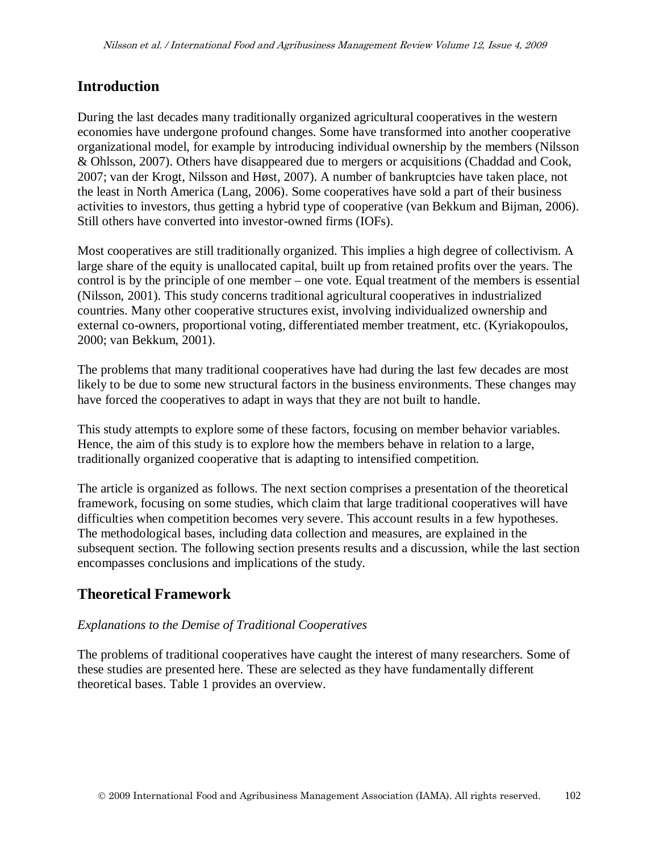### **Introduction**

During the last decades many traditionally organized agricultural cooperatives in the western economies have undergone profound changes. Some have transformed into another cooperative organizational model, for example by introducing individual ownership by the members (Nilsson & Ohlsson, 2007). Others have disappeared due to mergers or acquisitions (Chaddad and Cook, 2007; van der Krogt, Nilsson and Høst, 2007). A number of bankruptcies have taken place, not the least in North America (Lang, 2006). Some cooperatives have sold a part of their business activities to investors, thus getting a hybrid type of cooperative (van Bekkum and Bijman, 2006). Still others have converted into investor-owned firms (IOFs).

Most cooperatives are still traditionally organized. This implies a high degree of collectivism. A large share of the equity is unallocated capital, built up from retained profits over the years. The control is by the principle of one member – one vote. Equal treatment of the members is essential (Nilsson, 2001). This study concerns traditional agricultural cooperatives in industrialized countries. Many other cooperative structures exist, involving individualized ownership and external co-owners, proportional voting, differentiated member treatment, etc. (Kyriakopoulos, 2000; van Bekkum, 2001).

The problems that many traditional cooperatives have had during the last few decades are most likely to be due to some new structural factors in the business environments. These changes may have forced the cooperatives to adapt in ways that they are not built to handle.

This study attempts to explore some of these factors, focusing on member behavior variables. Hence, the aim of this study is to explore how the members behave in relation to a large, traditionally organized cooperative that is adapting to intensified competition.

The article is organized as follows. The next section comprises a presentation of the theoretical framework, focusing on some studies, which claim that large traditional cooperatives will have difficulties when competition becomes very severe. This account results in a few hypotheses. The methodological bases, including data collection and measures, are explained in the subsequent section. The following section presents results and a discussion, while the last section encompasses conclusions and implications of the study.

## **Theoretical Framework**

#### *Explanations to the Demise of Traditional Cooperatives*

The problems of traditional cooperatives have caught the interest of many researchers. Some of these studies are presented here. These are selected as they have fundamentally different theoretical bases. Table 1 provides an overview.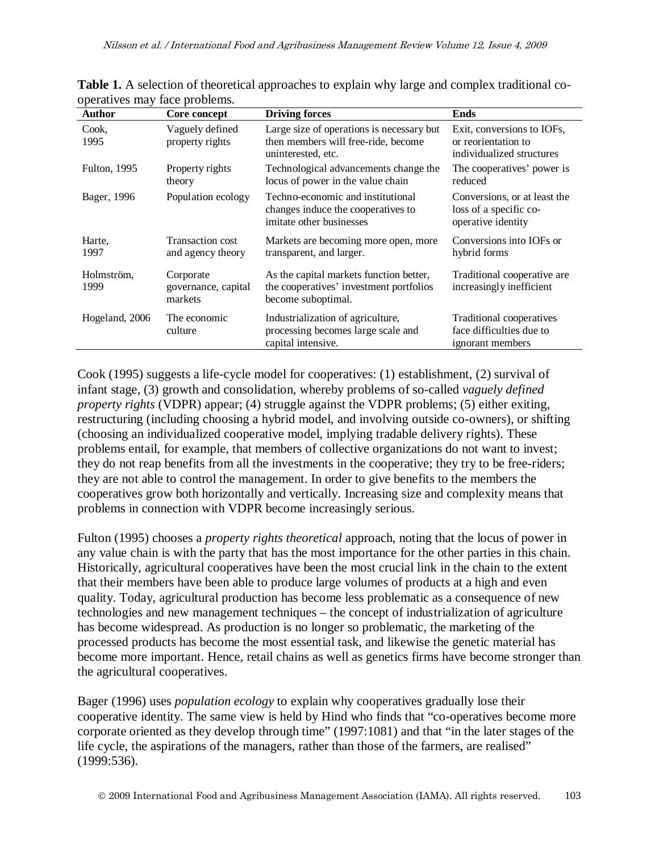| $\beta$<br><b>Author</b> | Core concept                                | <b>Driving forces</b>                                                                                    | <b>Ends</b>                                                                    |
|--------------------------|---------------------------------------------|----------------------------------------------------------------------------------------------------------|--------------------------------------------------------------------------------|
| Cook,<br>1995            | Vaguely defined<br>property rights          | Large size of operations is necessary but<br>then members will free-ride, become<br>uninterested, etc.   | Exit, conversions to IOFs,<br>or reorientation to<br>individualized structures |
| <b>Fulton, 1995</b>      | Property rights<br>theory                   | Technological advancements change the<br>locus of power in the value chain                               | The cooperatives' power is<br>reduced                                          |
| Bager, 1996              | Population ecology                          | Techno-economic and institutional<br>changes induce the cooperatives to<br>imitate other businesses      | Conversions, or at least the<br>loss of a specific co-<br>operative identity   |
| Harte,<br>1997           | Transaction cost<br>and agency theory       | Markets are becoming more open, more<br>transparent, and larger.                                         | Conversions into IOFs or<br>hybrid forms                                       |
| Holmström,<br>1999       | Corporate<br>governance, capital<br>markets | As the capital markets function better,<br>the cooperatives' investment portfolios<br>become suboptimal. | Traditional cooperative are<br>increasingly inefficient                        |
| Hogeland, 2006           | The economic<br>culture                     | Industrialization of agriculture,<br>processing becomes large scale and<br>capital intensive.            | Traditional cooperatives<br>face difficulties due to<br>ignorant members       |

**Table 1.** A selection of theoretical approaches to explain why large and complex traditional cooperatives may face problems.

Cook (1995) suggests a life-cycle model for cooperatives: (1) establishment, (2) survival of infant stage, (3) growth and consolidation, whereby problems of so-called *vaguely defined property rights* (VDPR) appear; (4) struggle against the VDPR problems; (5) either exiting, restructuring (including choosing a hybrid model, and involving outside co-owners), or shifting (choosing an individualized cooperative model, implying tradable delivery rights). These problems entail, for example, that members of collective organizations do not want to invest; they do not reap benefits from all the investments in the cooperative; they try to be free-riders; they are not able to control the management. In order to give benefits to the members the cooperatives grow both horizontally and vertically. Increasing size and complexity means that problems in connection with VDPR become increasingly serious.

Fulton (1995) chooses a *property rights theoretical* approach, noting that the locus of power in any value chain is with the party that has the most importance for the other parties in this chain. Historically, agricultural cooperatives have been the most crucial link in the chain to the extent that their members have been able to produce large volumes of products at a high and even quality. Today, agricultural production has become less problematic as a consequence of new technologies and new management techniques – the concept of industrialization of agriculture has become widespread. As production is no longer so problematic, the marketing of the processed products has become the most essential task, and likewise the genetic material has become more important. Hence, retail chains as well as genetics firms have become stronger than the agricultural cooperatives.

Bager (1996) uses *population ecology* to explain why cooperatives gradually lose their cooperative identity. The same view is held by Hind who finds that "co-operatives become more corporate oriented as they develop through time" (1997:1081) and that "in the later stages of the life cycle, the aspirations of the managers, rather than those of the farmers, are realised" (1999:536).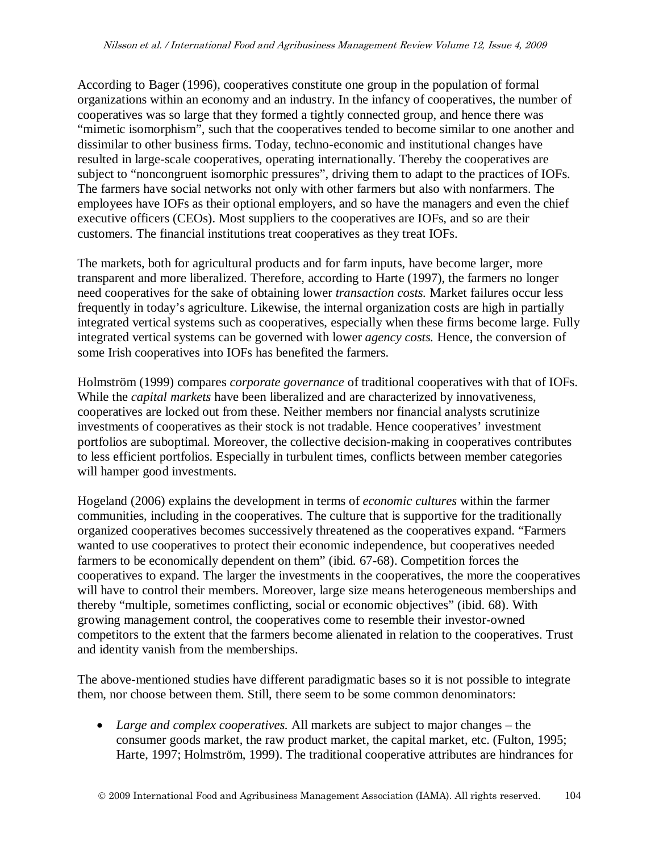According to Bager (1996), cooperatives constitute one group in the population of formal organizations within an economy and an industry. In the infancy of cooperatives, the number of cooperatives was so large that they formed a tightly connected group, and hence there was "mimetic isomorphism", such that the cooperatives tended to become similar to one another and dissimilar to other business firms. Today, techno-economic and institutional changes have resulted in large-scale cooperatives, operating internationally. Thereby the cooperatives are subject to "noncongruent isomorphic pressures", driving them to adapt to the practices of IOFs. The farmers have social networks not only with other farmers but also with nonfarmers. The employees have IOFs as their optional employers, and so have the managers and even the chief executive officers (CEOs). Most suppliers to the cooperatives are IOFs, and so are their customers. The financial institutions treat cooperatives as they treat IOFs.

The markets, both for agricultural products and for farm inputs, have become larger, more transparent and more liberalized. Therefore, according to Harte (1997), the farmers no longer need cooperatives for the sake of obtaining lower *transaction costs.* Market failures occur less frequently in today's agriculture. Likewise, the internal organization costs are high in partially integrated vertical systems such as cooperatives, especially when these firms become large. Fully integrated vertical systems can be governed with lower *agency costs.* Hence, the conversion of some Irish cooperatives into IOFs has benefited the farmers.

Holmström (1999) compares *corporate governance* of traditional cooperatives with that of IOFs. While the *capital markets* have been liberalized and are characterized by innovativeness, cooperatives are locked out from these. Neither members nor financial analysts scrutinize investments of cooperatives as their stock is not tradable. Hence cooperatives' investment portfolios are suboptimal. Moreover, the collective decision-making in cooperatives contributes to less efficient portfolios. Especially in turbulent times, conflicts between member categories will hamper good investments.

Hogeland (2006) explains the development in terms of *economic cultures* within the farmer communities, including in the cooperatives. The culture that is supportive for the traditionally organized cooperatives becomes successively threatened as the cooperatives expand. "Farmers wanted to use cooperatives to protect their economic independence, but cooperatives needed farmers to be economically dependent on them" (ibid. 67-68). Competition forces the cooperatives to expand. The larger the investments in the cooperatives, the more the cooperatives will have to control their members. Moreover, large size means heterogeneous memberships and thereby "multiple, sometimes conflicting, social or economic objectives" (ibid. 68). With growing management control, the cooperatives come to resemble their investor-owned competitors to the extent that the farmers become alienated in relation to the cooperatives. Trust and identity vanish from the memberships.

The above-mentioned studies have different paradigmatic bases so it is not possible to integrate them, nor choose between them. Still, there seem to be some common denominators:

• *Large and complex cooperatives.* All markets are subject to major changes – the consumer goods market, the raw product market, the capital market, etc. (Fulton, 1995; Harte, 1997; Holmström, 1999). The traditional cooperative attributes are hindrances for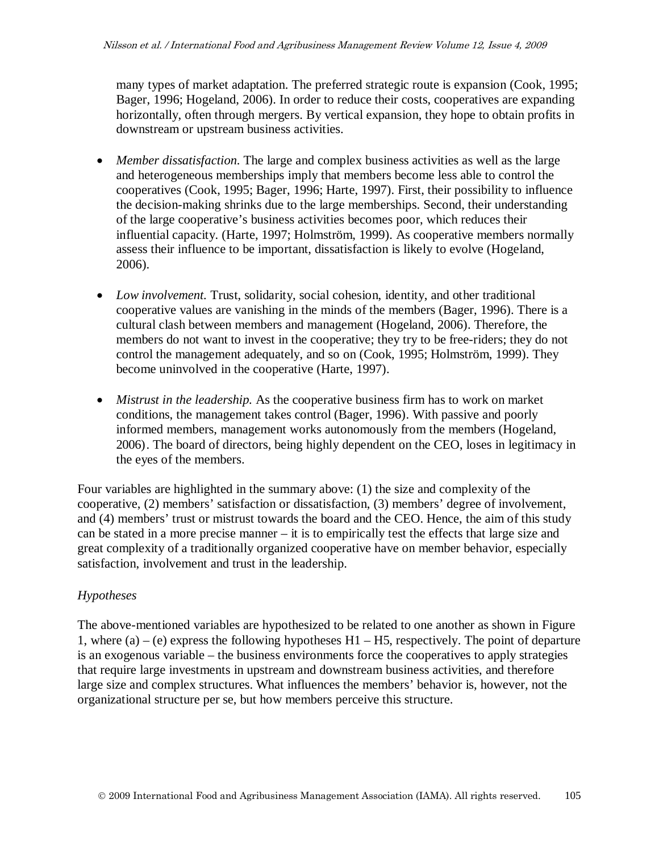many types of market adaptation. The preferred strategic route is expansion (Cook, 1995; Bager, 1996; Hogeland, 2006). In order to reduce their costs, cooperatives are expanding horizontally, often through mergers. By vertical expansion, they hope to obtain profits in downstream or upstream business activities.

- *Member dissatisfaction*. The large and complex business activities as well as the large and heterogeneous memberships imply that members become less able to control the cooperatives (Cook, 1995; Bager, 1996; Harte, 1997). First, their possibility to influence the decision-making shrinks due to the large memberships. Second, their understanding of the large cooperative's business activities becomes poor, which reduces their influential capacity. (Harte, 1997; Holmström, 1999). As cooperative members normally assess their influence to be important, dissatisfaction is likely to evolve (Hogeland, 2006).
- *Low involvement.* Trust, solidarity, social cohesion, identity, and other traditional cooperative values are vanishing in the minds of the members (Bager, 1996). There is a cultural clash between members and management (Hogeland, 2006). Therefore, the members do not want to invest in the cooperative; they try to be free-riders; they do not control the management adequately, and so on (Cook, 1995; Holmström, 1999). They become uninvolved in the cooperative (Harte, 1997).
- *Mistrust in the leadership.* As the cooperative business firm has to work on market conditions, the management takes control (Bager, 1996). With passive and poorly informed members, management works autonomously from the members (Hogeland, 2006). The board of directors, being highly dependent on the CEO, loses in legitimacy in the eyes of the members.

Four variables are highlighted in the summary above: (1) the size and complexity of the cooperative, (2) members' satisfaction or dissatisfaction, (3) members' degree of involvement, and (4) members' trust or mistrust towards the board and the CEO. Hence, the aim of this study can be stated in a more precise manner – it is to empirically test the effects that large size and great complexity of a traditionally organized cooperative have on member behavior, especially satisfaction, involvement and trust in the leadership.

### *Hypotheses*

The above-mentioned variables are hypothesized to be related to one another as shown in Figure 1, where (a) – (e) express the following hypotheses  $H1 - H5$ , respectively. The point of departure is an exogenous variable – the business environments force the cooperatives to apply strategies that require large investments in upstream and downstream business activities, and therefore large size and complex structures. What influences the members' behavior is, however, not the organizational structure per se, but how members perceive this structure.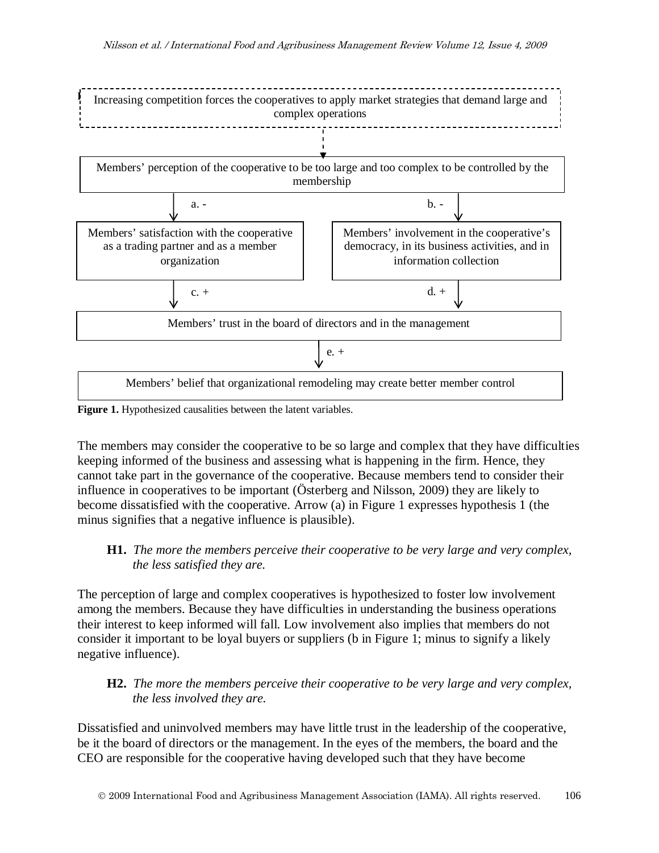

**Figure 1.** Hypothesized causalities between the latent variables.

The members may consider the cooperative to be so large and complex that they have difficulties keeping informed of the business and assessing what is happening in the firm. Hence, they cannot take part in the governance of the cooperative. Because members tend to consider their influence in cooperatives to be important (Österberg and Nilsson, 2009) they are likely to become dissatisfied with the cooperative. Arrow (a) in Figure 1 expresses hypothesis 1 (the minus signifies that a negative influence is plausible).

#### **H1.** *The more the members perceive their cooperative to be very large and very complex,*  *the less satisfied they are.*

The perception of large and complex cooperatives is hypothesized to foster low involvement among the members. Because they have difficulties in understanding the business operations their interest to keep informed will fall. Low involvement also implies that members do not consider it important to be loyal buyers or suppliers (b in Figure 1; minus to signify a likely negative influence).

### **H2.** *The more the members perceive their cooperative to be very large and very complex, the less involved they are.*

Dissatisfied and uninvolved members may have little trust in the leadership of the cooperative, be it the board of directors or the management. In the eyes of the members, the board and the CEO are responsible for the cooperative having developed such that they have become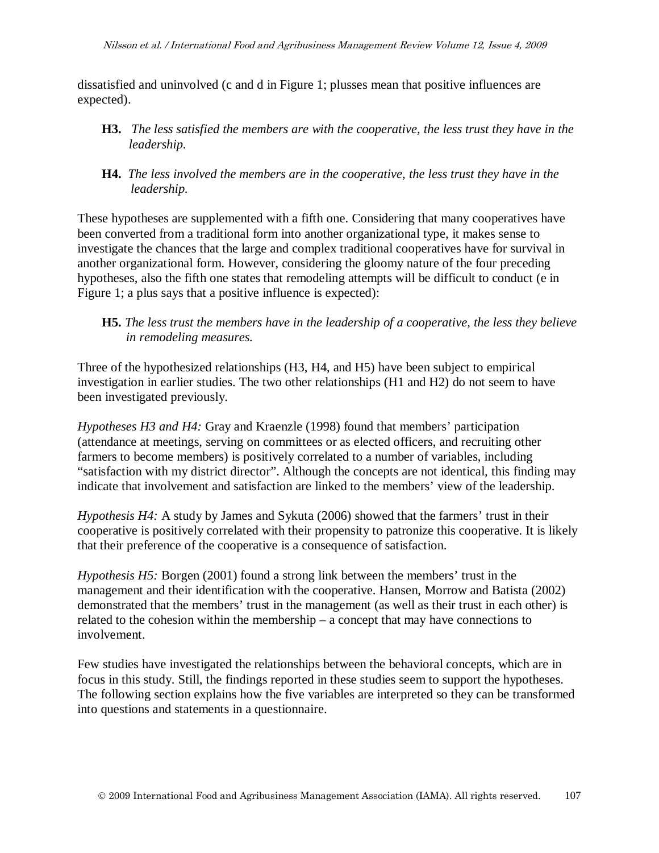dissatisfied and uninvolved (c and d in Figure 1; plusses mean that positive influences are expected).

- **H3.** *The less satisfied the members are with the cooperative, the less trust they have in the*  *leadership.*
- **H4.** *The less involved the members are in the cooperative, the less trust they have in the*  *leadership.*

These hypotheses are supplemented with a fifth one. Considering that many cooperatives have been converted from a traditional form into another organizational type, it makes sense to investigate the chances that the large and complex traditional cooperatives have for survival in another organizational form. However, considering the gloomy nature of the four preceding hypotheses, also the fifth one states that remodeling attempts will be difficult to conduct (e in Figure 1; a plus says that a positive influence is expected):

Three of the hypothesized relationships (H3, H4, and H5) have been subject to empirical investigation in earlier studies. The two other relationships (H1 and H2) do not seem to have been investigated previously.

*Hypotheses H3 and H4:* Gray and Kraenzle (1998) found that members' participation (attendance at meetings, serving on committees or as elected officers, and recruiting other farmers to become members) is positively correlated to a number of variables, including "satisfaction with my district director". Although the concepts are not identical, this finding may indicate that involvement and satisfaction are linked to the members' view of the leadership.

*Hypothesis H4:* A study by James and Sykuta (2006) showed that the farmers' trust in their cooperative is positively correlated with their propensity to patronize this cooperative. It is likely that their preference of the cooperative is a consequence of satisfaction.

*Hypothesis H5:* Borgen (2001) found a strong link between the members' trust in the management and their identification with the cooperative. Hansen, Morrow and Batista (2002) demonstrated that the members' trust in the management (as well as their trust in each other) is related to the cohesion within the membership – a concept that may have connections to involvement.

Few studies have investigated the relationships between the behavioral concepts, which are in focus in this study. Still, the findings reported in these studies seem to support the hypotheses. The following section explains how the five variables are interpreted so they can be transformed into questions and statements in a questionnaire.

**H5.** *The less trust the members have in the leadership of a cooperative, the less they believe*  *in remodeling measures.*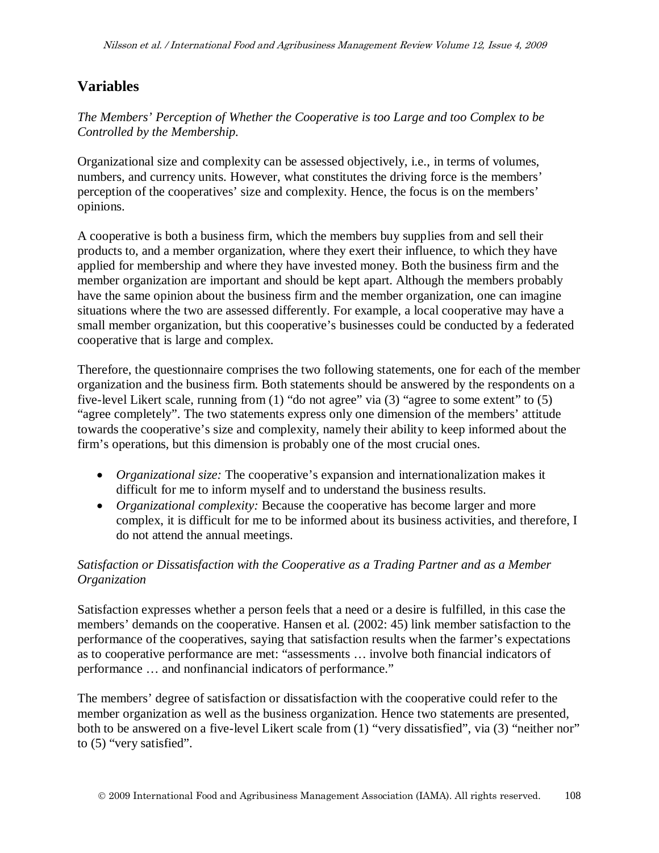### **Variables**

*The Members' Perception of Whether the Cooperative is too Large and too Complex to be Controlled by the Membership.*

Organizational size and complexity can be assessed objectively, i.e., in terms of volumes, numbers, and currency units. However, what constitutes the driving force is the members' perception of the cooperatives' size and complexity. Hence, the focus is on the members' opinions.

A cooperative is both a business firm, which the members buy supplies from and sell their products to, and a member organization, where they exert their influence, to which they have applied for membership and where they have invested money. Both the business firm and the member organization are important and should be kept apart. Although the members probably have the same opinion about the business firm and the member organization, one can imagine situations where the two are assessed differently. For example, a local cooperative may have a small member organization, but this cooperative's businesses could be conducted by a federated cooperative that is large and complex.

Therefore, the questionnaire comprises the two following statements, one for each of the member organization and the business firm. Both statements should be answered by the respondents on a five-level Likert scale, running from (1) "do not agree" via (3) "agree to some extent" to (5) "agree completely". The two statements express only one dimension of the members' attitude towards the cooperative's size and complexity, namely their ability to keep informed about the firm's operations, but this dimension is probably one of the most crucial ones.

- *Organizational size:* The cooperative's expansion and internationalization makes it difficult for me to inform myself and to understand the business results.
- *Organizational complexity:* Because the cooperative has become larger and more complex, it is difficult for me to be informed about its business activities, and therefore, I do not attend the annual meetings.

### *Satisfaction or Dissatisfaction with the Cooperative as a Trading Partner and as a Member Organization*

Satisfaction expresses whether a person feels that a need or a desire is fulfilled, in this case the members' demands on the cooperative. Hansen et al. (2002: 45) link member satisfaction to the performance of the cooperatives, saying that satisfaction results when the farmer's expectations as to cooperative performance are met: "assessments … involve both financial indicators of performance … and nonfinancial indicators of performance."

The members' degree of satisfaction or dissatisfaction with the cooperative could refer to the member organization as well as the business organization. Hence two statements are presented, both to be answered on a five-level Likert scale from (1) "very dissatisfied", via (3) "neither nor" to (5) "very satisfied".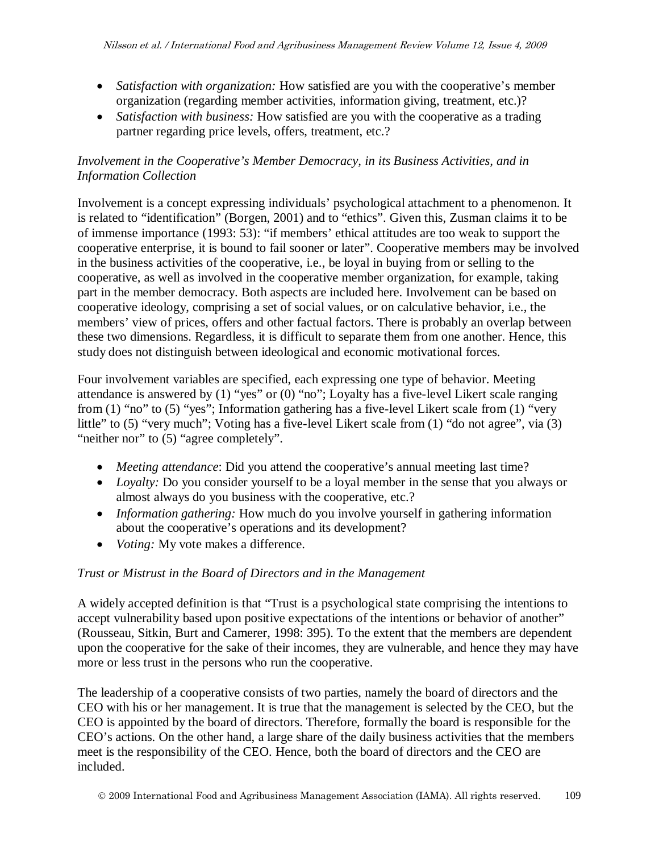- *Satisfaction with organization:* How satisfied are you with the cooperative's member organization (regarding member activities, information giving, treatment, etc.)?
- *Satisfaction with business:* How satisfied are you with the cooperative as a trading partner regarding price levels, offers, treatment, etc.?

### *Involvement in the Cooperative's Member Democracy, in its Business Activities, and in Information Collection*

Involvement is a concept expressing individuals' psychological attachment to a phenomenon. It is related to "identification" (Borgen, 2001) and to "ethics". Given this, Zusman claims it to be of immense importance (1993: 53): "if members' ethical attitudes are too weak to support the cooperative enterprise, it is bound to fail sooner or later". Cooperative members may be involved in the business activities of the cooperative, i.e., be loyal in buying from or selling to the cooperative, as well as involved in the cooperative member organization, for example, taking part in the member democracy. Both aspects are included here. Involvement can be based on cooperative ideology, comprising a set of social values, or on calculative behavior, i.e., the members' view of prices, offers and other factual factors. There is probably an overlap between these two dimensions. Regardless, it is difficult to separate them from one another. Hence, this study does not distinguish between ideological and economic motivational forces.

Four involvement variables are specified, each expressing one type of behavior. Meeting attendance is answered by (1) "yes" or (0) "no"; Loyalty has a five-level Likert scale ranging from (1) "no" to (5) "yes"; Information gathering has a five-level Likert scale from (1) "very little" to (5) "very much"; Voting has a five-level Likert scale from (1) "do not agree", via (3) "neither nor" to (5) "agree completely".

- *Meeting attendance*: Did you attend the cooperative's annual meeting last time?
- *Loyalty:* Do you consider yourself to be a loyal member in the sense that you always or almost always do you business with the cooperative, etc.?
- *Information gathering:* How much do you involve yourself in gathering information about the cooperative's operations and its development?
- *Voting:* My vote makes a difference.

### *Trust or Mistrust in the Board of Directors and in the Management*

A widely accepted definition is that "Trust is a psychological state comprising the intentions to accept vulnerability based upon positive expectations of the intentions or behavior of another" (Rousseau, Sitkin, Burt and Camerer, 1998: 395). To the extent that the members are dependent upon the cooperative for the sake of their incomes, they are vulnerable, and hence they may have more or less trust in the persons who run the cooperative.

The leadership of a cooperative consists of two parties, namely the board of directors and the CEO with his or her management. It is true that the management is selected by the CEO, but the CEO is appointed by the board of directors. Therefore, formally the board is responsible for the CEO's actions. On the other hand, a large share of the daily business activities that the members meet is the responsibility of the CEO. Hence, both the board of directors and the CEO are included.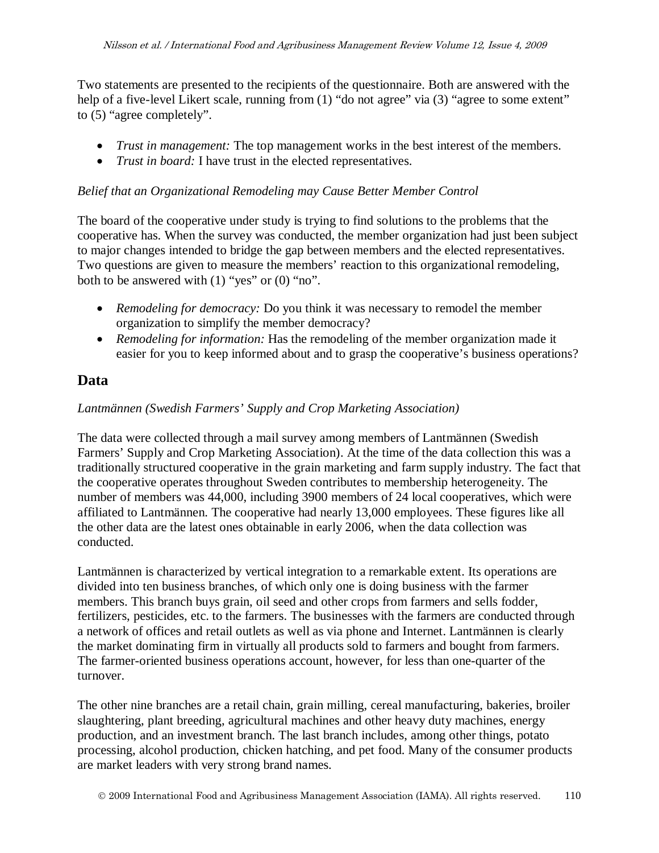Two statements are presented to the recipients of the questionnaire. Both are answered with the help of a five-level Likert scale, running from (1) "do not agree" via (3) "agree to some extent" to (5) "agree completely".

- *Trust in management:* The top management works in the best interest of the members.
- *Trust in board:* I have trust in the elected representatives.

### *Belief that an Organizational Remodeling may Cause Better Member Control*

The board of the cooperative under study is trying to find solutions to the problems that the cooperative has. When the survey was conducted, the member organization had just been subject to major changes intended to bridge the gap between members and the elected representatives. Two questions are given to measure the members' reaction to this organizational remodeling, both to be answered with  $(1)$  "yes" or  $(0)$  "no".

- *Remodeling for democracy:* Do you think it was necessary to remodel the member organization to simplify the member democracy?
- *Remodeling for information:* Has the remodeling of the member organization made it easier for you to keep informed about and to grasp the cooperative's business operations?

## **Data**

### *Lantmännen (Swedish Farmers' Supply and Crop Marketing Association)*

The data were collected through a mail survey among members of Lantmännen (Swedish Farmers' Supply and Crop Marketing Association). At the time of the data collection this was a traditionally structured cooperative in the grain marketing and farm supply industry. The fact that the cooperative operates throughout Sweden contributes to membership heterogeneity. The number of members was 44,000, including 3900 members of 24 local cooperatives, which were affiliated to Lantmännen. The cooperative had nearly 13,000 employees. These figures like all the other data are the latest ones obtainable in early 2006, when the data collection was conducted.

Lantmännen is characterized by vertical integration to a remarkable extent. Its operations are divided into ten business branches, of which only one is doing business with the farmer members. This branch buys grain, oil seed and other crops from farmers and sells fodder, fertilizers, pesticides, etc. to the farmers. The businesses with the farmers are conducted through a network of offices and retail outlets as well as via phone and Internet. Lantmännen is clearly the market dominating firm in virtually all products sold to farmers and bought from farmers. The farmer-oriented business operations account, however, for less than one-quarter of the turnover.

The other nine branches are a retail chain, grain milling, cereal manufacturing, bakeries, broiler slaughtering, plant breeding, agricultural machines and other heavy duty machines, energy production, and an investment branch. The last branch includes, among other things, potato processing, alcohol production, chicken hatching, and pet food. Many of the consumer products are market leaders with very strong brand names.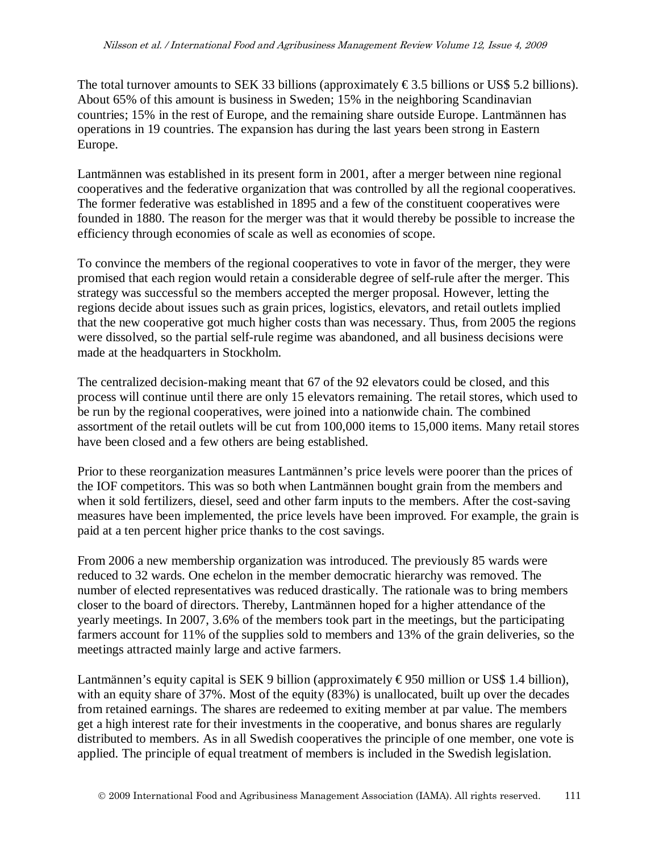The total turnover amounts to SEK 33 billions (approximately  $\epsilon$ 3.5 billions or US\$ 5.2 billions). About 65% of this amount is business in Sweden; 15% in the neighboring Scandinavian countries; 15% in the rest of Europe, and the remaining share outside Europe. Lantmännen has operations in 19 countries. The expansion has during the last years been strong in Eastern Europe.

Lantmännen was established in its present form in 2001, after a merger between nine regional cooperatives and the federative organization that was controlled by all the regional cooperatives. The former federative was established in 1895 and a few of the constituent cooperatives were founded in 1880. The reason for the merger was that it would thereby be possible to increase the efficiency through economies of scale as well as economies of scope.

To convince the members of the regional cooperatives to vote in favor of the merger, they were promised that each region would retain a considerable degree of self-rule after the merger. This strategy was successful so the members accepted the merger proposal. However, letting the regions decide about issues such as grain prices, logistics, elevators, and retail outlets implied that the new cooperative got much higher costs than was necessary. Thus, from 2005 the regions were dissolved, so the partial self-rule regime was abandoned, and all business decisions were made at the headquarters in Stockholm.

The centralized decision-making meant that 67 of the 92 elevators could be closed, and this process will continue until there are only 15 elevators remaining. The retail stores, which used to be run by the regional cooperatives, were joined into a nationwide chain. The combined assortment of the retail outlets will be cut from 100,000 items to 15,000 items. Many retail stores have been closed and a few others are being established.

Prior to these reorganization measures Lantmännen's price levels were poorer than the prices of the IOF competitors. This was so both when Lantmännen bought grain from the members and when it sold fertilizers, diesel, seed and other farm inputs to the members. After the cost-saving measures have been implemented, the price levels have been improved. For example, the grain is paid at a ten percent higher price thanks to the cost savings.

From 2006 a new membership organization was introduced. The previously 85 wards were reduced to 32 wards. One echelon in the member democratic hierarchy was removed. The number of elected representatives was reduced drastically. The rationale was to bring members closer to the board of directors. Thereby, Lantmännen hoped for a higher attendance of the yearly meetings. In 2007, 3.6% of the members took part in the meetings, but the participating farmers account for 11% of the supplies sold to members and 13% of the grain deliveries, so the meetings attracted mainly large and active farmers.

Lantmännen's equity capital is SEK 9 billion (approximately  $\epsilon$ 950 million or US\$ 1.4 billion), with an equity share of 37%. Most of the equity (83%) is unallocated, built up over the decades from retained earnings. The shares are redeemed to exiting member at par value. The members get a high interest rate for their investments in the cooperative, and bonus shares are regularly distributed to members. As in all Swedish cooperatives the principle of one member, one vote is applied. The principle of equal treatment of members is included in the Swedish legislation.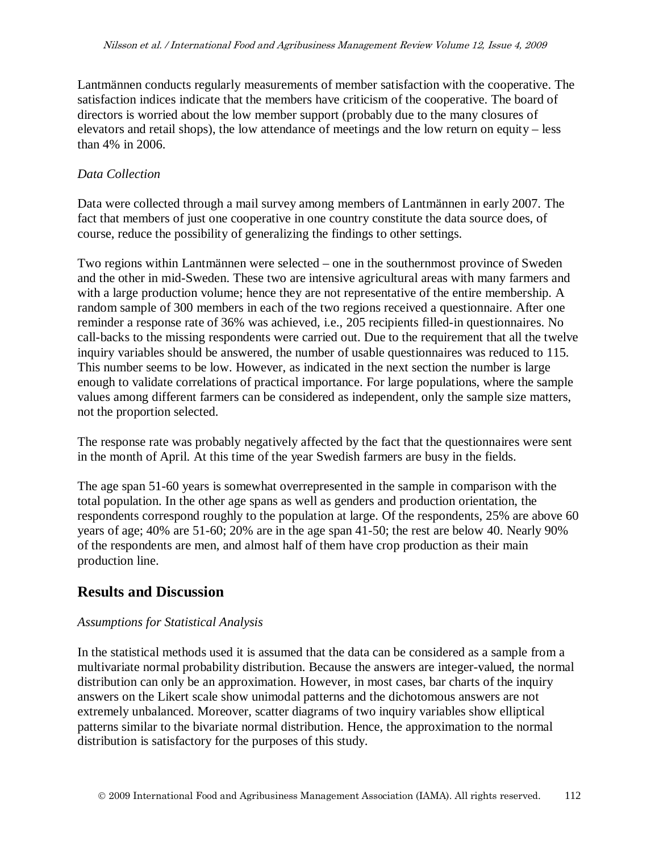Lantmännen conducts regularly measurements of member satisfaction with the cooperative. The satisfaction indices indicate that the members have criticism of the cooperative. The board of directors is worried about the low member support (probably due to the many closures of elevators and retail shops), the low attendance of meetings and the low return on equity – less than 4% in 2006.

### *Data Collection*

Data were collected through a mail survey among members of Lantmännen in early 2007. The fact that members of just one cooperative in one country constitute the data source does, of course, reduce the possibility of generalizing the findings to other settings.

Two regions within Lantmännen were selected – one in the southernmost province of Sweden and the other in mid-Sweden. These two are intensive agricultural areas with many farmers and with a large production volume; hence they are not representative of the entire membership. A random sample of 300 members in each of the two regions received a questionnaire. After one reminder a response rate of 36% was achieved, i.e., 205 recipients filled-in questionnaires. No call-backs to the missing respondents were carried out. Due to the requirement that all the twelve inquiry variables should be answered, the number of usable questionnaires was reduced to 115. This number seems to be low. However, as indicated in the next section the number is large enough to validate correlations of practical importance. For large populations, where the sample values among different farmers can be considered as independent, only the sample size matters, not the proportion selected.

The response rate was probably negatively affected by the fact that the questionnaires were sent in the month of April. At this time of the year Swedish farmers are busy in the fields.

The age span 51-60 years is somewhat overrepresented in the sample in comparison with the total population. In the other age spans as well as genders and production orientation, the respondents correspond roughly to the population at large. Of the respondents, 25% are above 60 years of age; 40% are 51-60; 20% are in the age span 41-50; the rest are below 40. Nearly 90% of the respondents are men, and almost half of them have crop production as their main production line.

## **Results and Discussion**

### *Assumptions for Statistical Analysis*

In the statistical methods used it is assumed that the data can be considered as a sample from a multivariate normal probability distribution. Because the answers are integer-valued, the normal distribution can only be an approximation. However, in most cases, bar charts of the inquiry answers on the Likert scale show unimodal patterns and the dichotomous answers are not extremely unbalanced. Moreover, scatter diagrams of two inquiry variables show elliptical patterns similar to the bivariate normal distribution. Hence, the approximation to the normal distribution is satisfactory for the purposes of this study.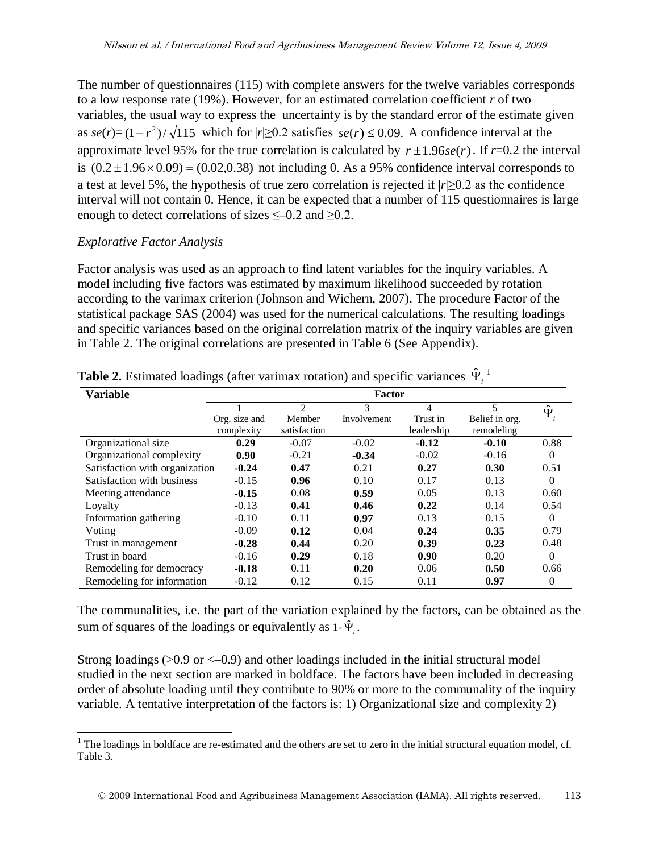The number of questionnaires (115) with complete answers for the twelve variables corresponds to a low response rate (19%). However, for an estimated correlation coefficient *r* of two variables, the usual way to express the uncertainty is by the standard error of the estimate given as  $se(r)=(1-r^2)/\sqrt{115}$  which for  $|r| \ge 0.2$  satisfies  $se(r) \le 0.09$ . A confidence interval at the approximate level 95% for the true correlation is calculated by  $r \pm 1.96$ *se*(*r*). If *r*=0.2 the interval is  $(0.2 \pm 1.96 \times 0.09) = (0.02, 0.38)$  not including 0. As a 95% confidence interval corresponds to a test at level 5%, the hypothesis of true zero correlation is rejected if |*r*|≥0.2 as the confidence interval will not contain 0. Hence, it can be expected that a number of 115 questionnaires is large enough to detect correlations of sizes  $\leq -0.2$  and  $\geq 0.2$ .

#### *Explorative Factor Analysis*

Factor analysis was used as an approach to find latent variables for the inquiry variables. A model including five factors was estimated by maximum likelihood succeeded by rotation according to the varimax criterion (Johnson and Wichern, 2007). The procedure Factor of the statistical package SAS (2004) was used for the numerical calculations. The resulting loadings and specific variances based on the original correlation matrix of the inquiry variables are given in Table 2. The original correlations are presented in Table 6 (See Appendix).

| <b>Variable</b>                | <b>Factor</b>               |                        |             |                        |                              |                  |  |  |  |
|--------------------------------|-----------------------------|------------------------|-------------|------------------------|------------------------------|------------------|--|--|--|
|                                |                             | 2                      | 3           | 4                      | 5                            | $\hat{\Psi}_{i}$ |  |  |  |
|                                | Org. size and<br>complexity | Member<br>satisfaction | Involvement | Trust in<br>leadership | Belief in org.<br>remodeling |                  |  |  |  |
| Organizational size            | 0.29                        | $-0.07$                | $-0.02$     | $-0.12$                | $-0.10$                      | 0.88             |  |  |  |
| Organizational complexity      | 0.90                        | $-0.21$                | $-0.34$     | $-0.02$                | $-0.16$                      | $\Omega$         |  |  |  |
| Satisfaction with organization | $-0.24$                     | 0.47                   | 0.21        | 0.27                   | 0.30                         | 0.51             |  |  |  |
| Satisfaction with business     | $-0.15$                     | 0.96                   | 0.10        | 0.17                   | 0.13                         | $\Omega$         |  |  |  |
| Meeting attendance             | $-0.15$                     | 0.08                   | 0.59        | 0.05                   | 0.13                         | 0.60             |  |  |  |
| Loyalty                        | $-0.13$                     | 0.41                   | 0.46        | 0.22                   | 0.14                         | 0.54             |  |  |  |
| Information gathering          | $-0.10$                     | 0.11                   | 0.97        | 0.13                   | 0.15                         | $\Omega$         |  |  |  |
| Voting                         | $-0.09$                     | 0.12                   | 0.04        | 0.24                   | 0.35                         | 0.79             |  |  |  |
| Trust in management            | $-0.28$                     | 0.44                   | 0.20        | 0.39                   | 0.23                         | 0.48             |  |  |  |
| Trust in board                 | $-0.16$                     | 0.29                   | 0.18        | 0.90                   | 0.20                         | $\Omega$         |  |  |  |
| Remodeling for democracy       | $-0.18$                     | 0.11                   | 0.20        | 0.06                   | 0.50                         | 0.66             |  |  |  |
| Remodeling for information     | $-0.12$                     | 0.12                   | 0.15        | 0.11                   | 0.97                         | $\mathbf{0}$     |  |  |  |

**Table 2.** Estimated loadings (after varimax rotation) and specific variances  $\hat{\Psi}^1$  $\hat{\Psi}^1$ 

The communalities, i.e. the part of the variation explained by the factors, can be obtained as the sum of squares of the loadings or equivalently as  $1-\hat{\Psi}$ .

Strong loadings  $(0.9 \text{ or } 0.9)$  and other loadings included in the initial structural model studied in the next section are marked in boldface. The factors have been included in decreasing order of absolute loading until they contribute to 90% or more to the communality of the inquiry variable. A tentative interpretation of the factors is: 1) Organizational size and complexity 2)

<span id="page-12-0"></span> $1$  The loadings in boldface are re-estimated and the others are set to zero in the initial structural equation model, cf. Table 3.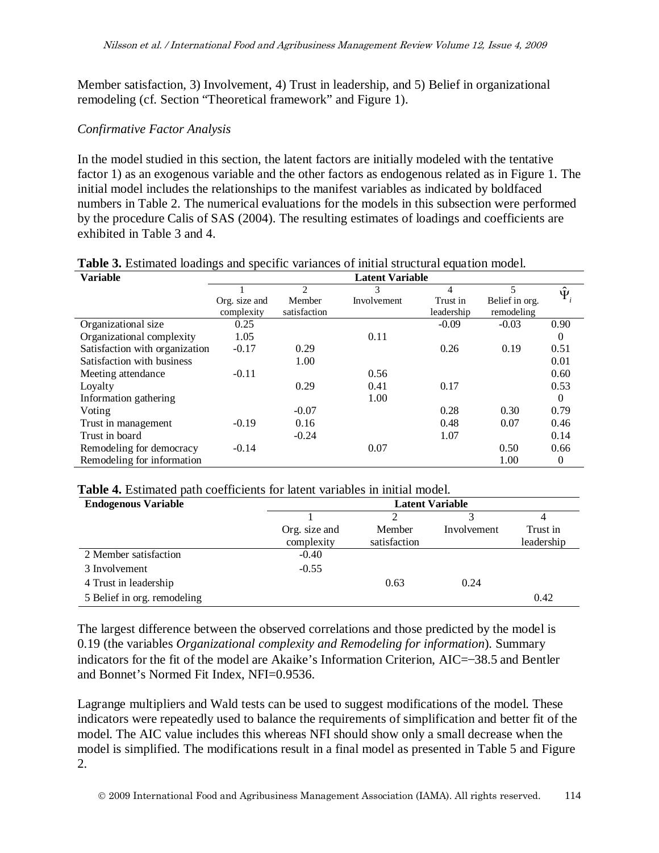Member satisfaction, 3) Involvement, 4) Trust in leadership, and 5) Belief in organizational remodeling (cf. Section "Theoretical framework" and Figure 1).

#### *Confirmative Factor Analysis*

In the model studied in this section, the latent factors are initially modeled with the tentative factor 1) as an exogenous variable and the other factors as endogenous related as in Figure 1. The initial model includes the relationships to the manifest variables as indicated by boldfaced numbers in Table 2. The numerical evaluations for the models in this subsection were performed by the procedure Calis of SAS (2004). The resulting estimates of loadings and coefficients are exhibited in Table 3 and 4.

| <b>Variable</b>                | <b>Latent Variable</b> |              |             |            |                |                  |  |  |  |  |
|--------------------------------|------------------------|--------------|-------------|------------|----------------|------------------|--|--|--|--|
|                                |                        | 2            | 3           | 4          | 5              | $\hat{\Psi}_{i}$ |  |  |  |  |
|                                | Org. size and          | Member       | Involvement | Trust in   | Belief in org. |                  |  |  |  |  |
|                                | complexity             | satisfaction |             | leadership | remodeling     |                  |  |  |  |  |
| Organizational size            | 0.25                   |              |             | $-0.09$    | $-0.03$        | 0.90             |  |  |  |  |
| Organizational complexity      | 1.05                   |              | 0.11        |            |                | $\theta$         |  |  |  |  |
| Satisfaction with organization | $-0.17$                | 0.29         |             | 0.26       | 0.19           | 0.51             |  |  |  |  |
| Satisfaction with business     |                        | 1.00         |             |            |                | 0.01             |  |  |  |  |
| Meeting attendance             | $-0.11$                |              | 0.56        |            |                | 0.60             |  |  |  |  |
| Loyalty                        |                        | 0.29         | 0.41        | 0.17       |                | 0.53             |  |  |  |  |
| Information gathering          |                        |              | 1.00        |            |                | $\Omega$         |  |  |  |  |
| Voting                         |                        | $-0.07$      |             | 0.28       | 0.30           | 0.79             |  |  |  |  |
| Trust in management            | $-0.19$                | 0.16         |             | 0.48       | 0.07           | 0.46             |  |  |  |  |
| Trust in board                 |                        | $-0.24$      |             | 1.07       |                | 0.14             |  |  |  |  |
| Remodeling for democracy       | $-0.14$                |              | 0.07        |            | 0.50           | 0.66             |  |  |  |  |
| Remodeling for information     |                        |              |             |            | 1.00           | $\theta$         |  |  |  |  |
|                                |                        |              |             |            |                |                  |  |  |  |  |

#### **Table 3.** Estimated loadings and specific variances of initial structural equation model.

| <b>Table 4.</b> Estimated path coefficients for latent variables in initial model. |  |
|------------------------------------------------------------------------------------|--|
|------------------------------------------------------------------------------------|--|

| <b>Endogenous Variable</b>  |               | <b>Latent Variable</b> |             |            |  |  |  |  |  |
|-----------------------------|---------------|------------------------|-------------|------------|--|--|--|--|--|
|                             |               |                        |             |            |  |  |  |  |  |
|                             | Org. size and | Member                 | Involvement | Trust in   |  |  |  |  |  |
|                             | complexity    | satisfaction           |             | leadership |  |  |  |  |  |
| 2 Member satisfaction       | $-0.40$       |                        |             |            |  |  |  |  |  |
| 3 Involvement               | $-0.55$       |                        |             |            |  |  |  |  |  |
| 4 Trust in leadership       |               | 0.63                   | 0.24        |            |  |  |  |  |  |
| 5 Belief in org. remodeling |               |                        |             | 0.42       |  |  |  |  |  |

The largest difference between the observed correlations and those predicted by the model is 0.19 (the variables *Organizational complexity and Remodeling for information*). Summary indicators for the fit of the model are Akaike's Information Criterion, AIC=–38.5 and Bentler and Bonnet's Normed Fit Index, NFI=0.9536.

Lagrange multipliers and Wald tests can be used to suggest modifications of the model. These indicators were repeatedly used to balance the requirements of simplification and better fit of the model. The AIC value includes this whereas NFI should show only a small decrease when the model is simplified. The modifications result in a final model as presented in Table 5 and Figure 2.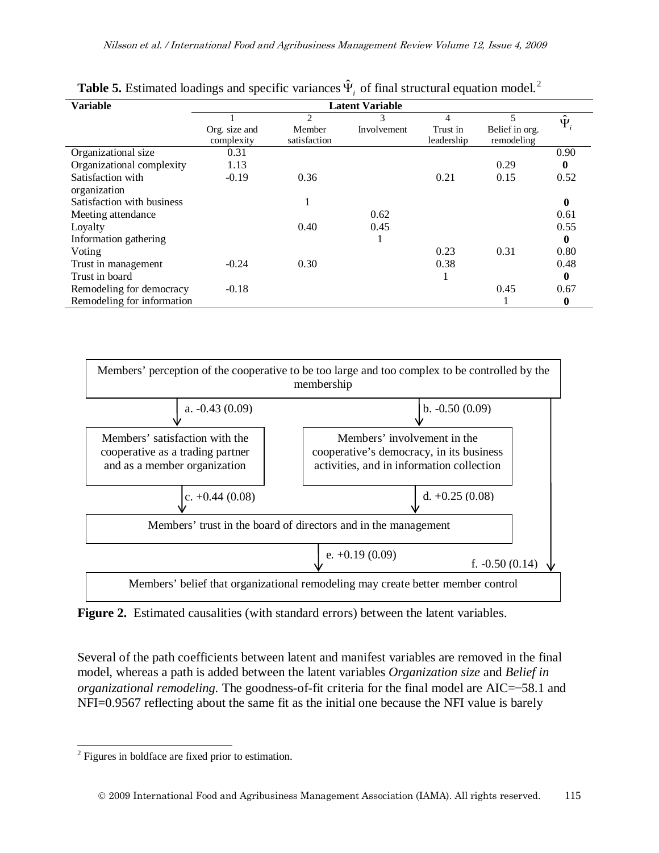| <b>Variable</b>                   |                             |                        |             |                        |                              |                |
|-----------------------------------|-----------------------------|------------------------|-------------|------------------------|------------------------------|----------------|
|                                   |                             | $\mathfrak{D}$         |             | 4                      | $\overline{5}$               | $\hat{\Psi}_i$ |
|                                   | Org. size and<br>complexity | Member<br>satisfaction | Involvement | Trust in<br>leadership | Belief in org.<br>remodeling |                |
| Organizational size               | 0.31                        |                        |             |                        |                              | 0.90           |
| Organizational complexity         | 1.13                        |                        |             |                        | 0.29                         | $\mathbf{0}$   |
| Satisfaction with<br>organization | $-0.19$                     | 0.36                   |             | 0.21                   | 0.15                         | 0.52           |
| Satisfaction with business        |                             |                        |             |                        |                              | 0              |
| Meeting attendance                |                             |                        | 0.62        |                        |                              | 0.61           |
| Loyalty                           |                             | 0.40                   | 0.45        |                        |                              | 0.55           |
| Information gathering             |                             |                        | л           |                        |                              | $\mathbf{0}$   |
| Voting                            |                             |                        |             | 0.23                   | 0.31                         | 0.80           |
| Trust in management               | $-0.24$                     | 0.30                   |             | 0.38                   |                              | 0.48           |
| Trust in board                    |                             |                        |             | T                      |                              | $\bf{0}$       |
| Remodeling for democracy          | $-0.18$                     |                        |             |                        | 0.45                         | 0.67           |
| Remodeling for information        |                             |                        |             |                        |                              | $\bf{0}$       |

**Table 5.** Estimated loadings and specific variances  $\hat{\Psi}$  of final structural equation model.<sup>[2](#page-14-0)</sup>



Figure 2. Estimated causalities (with standard errors) between the latent variables.

Several of the path coefficients between latent and manifest variables are removed in the final model, whereas a path is added between the latent variables *Organization size* and *Belief in organizational remodeling.* The goodness-of-fit criteria for the final model are AIC=–58.1 and NFI=0.9567 reflecting about the same fit as the initial one because the NFI value is barely

<span id="page-14-0"></span> <sup>2</sup> Figures in boldface are fixed prior to estimation.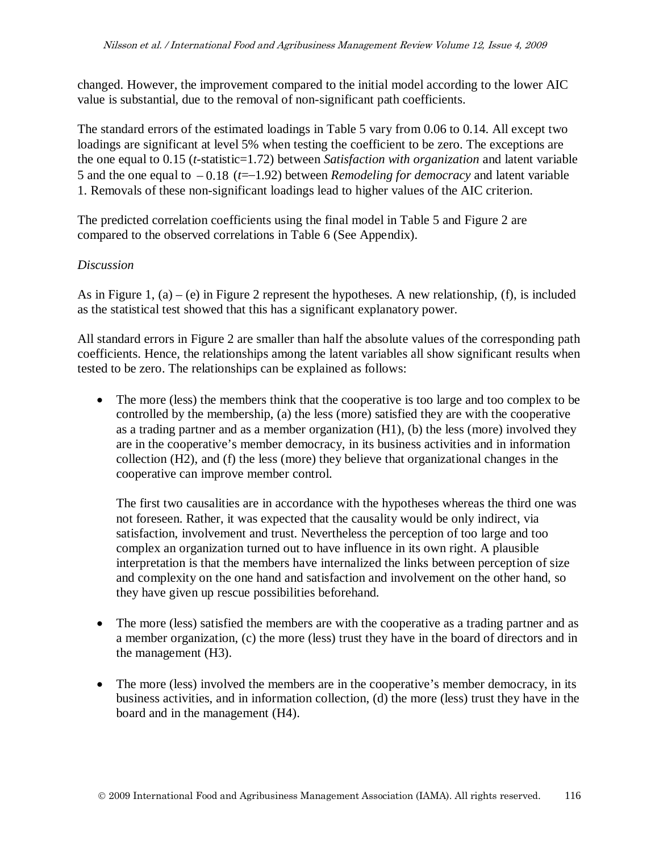changed. However, the improvement compared to the initial model according to the lower AIC value is substantial, due to the removal of non-significant path coefficients.

The standard errors of the estimated loadings in Table 5 vary from 0.06 to 0.14. All except two loadings are significant at level 5% when testing the coefficient to be zero. The exceptions are the one equal to 0.15 (*t-*statistic=1.72) between *Satisfaction with organization* and latent variable 5 and the one equal to − 0.18 (*t*=–1.92) between *Remodeling for democracy* and latent variable 1. Removals of these non-significant loadings lead to higher values of the AIC criterion.

The predicted correlation coefficients using the final model in Table 5 and Figure 2 are compared to the observed correlations in Table 6 (See Appendix).

### *Discussion*

As in Figure 1, (a) – (e) in Figure 2 represent the hypotheses. A new relationship, (f), is included as the statistical test showed that this has a significant explanatory power.

All standard errors in Figure 2 are smaller than half the absolute values of the corresponding path coefficients. Hence, the relationships among the latent variables all show significant results when tested to be zero. The relationships can be explained as follows:

• The more (less) the members think that the cooperative is too large and too complex to be controlled by the membership, (a) the less (more) satisfied they are with the cooperative as a trading partner and as a member organization (H1), (b) the less (more) involved they are in the cooperative's member democracy, in its business activities and in information collection (H2), and (f) the less (more) they believe that organizational changes in the cooperative can improve member control.

The first two causalities are in accordance with the hypotheses whereas the third one was not foreseen. Rather, it was expected that the causality would be only indirect, via satisfaction, involvement and trust. Nevertheless the perception of too large and too complex an organization turned out to have influence in its own right. A plausible interpretation is that the members have internalized the links between perception of size and complexity on the one hand and satisfaction and involvement on the other hand, so they have given up rescue possibilities beforehand.

- The more (less) satisfied the members are with the cooperative as a trading partner and as a member organization, (c) the more (less) trust they have in the board of directors and in the management (H3).
- The more (less) involved the members are in the cooperative's member democracy, in its business activities, and in information collection, (d) the more (less) trust they have in the board and in the management (H4).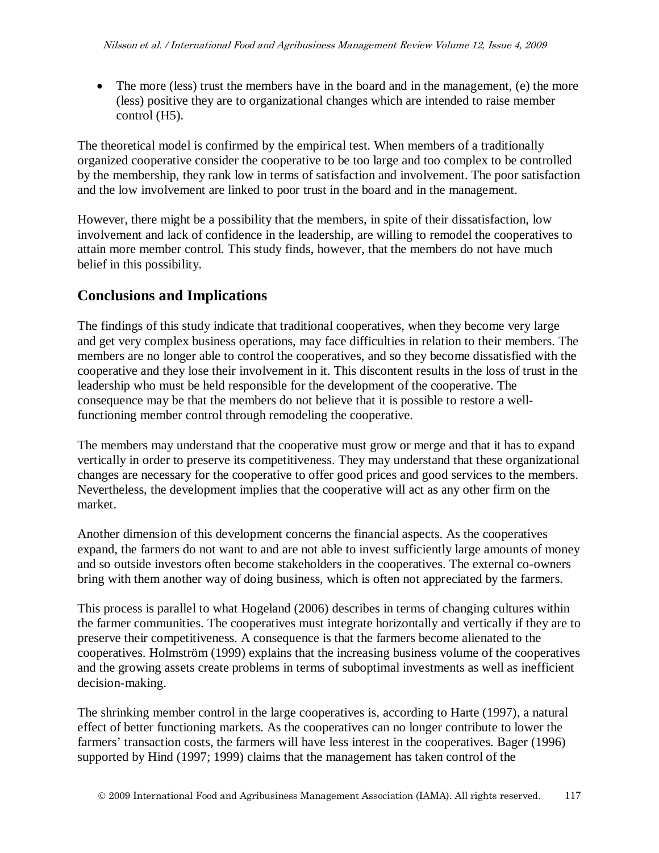• The more (less) trust the members have in the board and in the management, (e) the more (less) positive they are to organizational changes which are intended to raise member control (H5).

The theoretical model is confirmed by the empirical test. When members of a traditionally organized cooperative consider the cooperative to be too large and too complex to be controlled by the membership, they rank low in terms of satisfaction and involvement. The poor satisfaction and the low involvement are linked to poor trust in the board and in the management.

However, there might be a possibility that the members, in spite of their dissatisfaction, low involvement and lack of confidence in the leadership, are willing to remodel the cooperatives to attain more member control. This study finds, however, that the members do not have much belief in this possibility.

# **Conclusions and Implications**

The findings of this study indicate that traditional cooperatives, when they become very large and get very complex business operations, may face difficulties in relation to their members. The members are no longer able to control the cooperatives, and so they become dissatisfied with the cooperative and they lose their involvement in it. This discontent results in the loss of trust in the leadership who must be held responsible for the development of the cooperative. The consequence may be that the members do not believe that it is possible to restore a wellfunctioning member control through remodeling the cooperative.

The members may understand that the cooperative must grow or merge and that it has to expand vertically in order to preserve its competitiveness. They may understand that these organizational changes are necessary for the cooperative to offer good prices and good services to the members. Nevertheless, the development implies that the cooperative will act as any other firm on the market.

Another dimension of this development concerns the financial aspects. As the cooperatives expand, the farmers do not want to and are not able to invest sufficiently large amounts of money and so outside investors often become stakeholders in the cooperatives. The external co-owners bring with them another way of doing business, which is often not appreciated by the farmers.

This process is parallel to what Hogeland (2006) describes in terms of changing cultures within the farmer communities. The cooperatives must integrate horizontally and vertically if they are to preserve their competitiveness. A consequence is that the farmers become alienated to the cooperatives. Holmström (1999) explains that the increasing business volume of the cooperatives and the growing assets create problems in terms of suboptimal investments as well as inefficient decision-making.

The shrinking member control in the large cooperatives is, according to Harte (1997), a natural effect of better functioning markets. As the cooperatives can no longer contribute to lower the farmers' transaction costs, the farmers will have less interest in the cooperatives. Bager (1996) supported by Hind (1997; 1999) claims that the management has taken control of the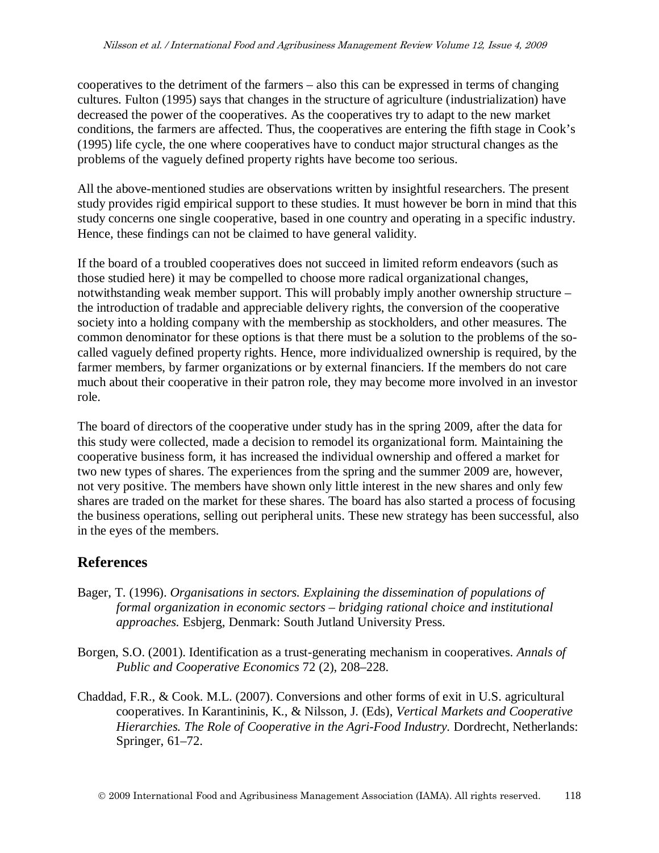cooperatives to the detriment of the farmers – also this can be expressed in terms of changing cultures. Fulton (1995) says that changes in the structure of agriculture (industrialization) have decreased the power of the cooperatives. As the cooperatives try to adapt to the new market conditions, the farmers are affected. Thus, the cooperatives are entering the fifth stage in Cook's (1995) life cycle, the one where cooperatives have to conduct major structural changes as the problems of the vaguely defined property rights have become too serious.

All the above-mentioned studies are observations written by insightful researchers. The present study provides rigid empirical support to these studies. It must however be born in mind that this study concerns one single cooperative, based in one country and operating in a specific industry. Hence, these findings can not be claimed to have general validity.

If the board of a troubled cooperatives does not succeed in limited reform endeavors (such as those studied here) it may be compelled to choose more radical organizational changes, notwithstanding weak member support. This will probably imply another ownership structure – the introduction of tradable and appreciable delivery rights, the conversion of the cooperative society into a holding company with the membership as stockholders, and other measures. The common denominator for these options is that there must be a solution to the problems of the socalled vaguely defined property rights. Hence, more individualized ownership is required, by the farmer members, by farmer organizations or by external financiers. If the members do not care much about their cooperative in their patron role, they may become more involved in an investor role.

The board of directors of the cooperative under study has in the spring 2009, after the data for this study were collected, made a decision to remodel its organizational form. Maintaining the cooperative business form, it has increased the individual ownership and offered a market for two new types of shares. The experiences from the spring and the summer 2009 are, however, not very positive. The members have shown only little interest in the new shares and only few shares are traded on the market for these shares. The board has also started a process of focusing the business operations, selling out peripheral units. These new strategy has been successful, also in the eyes of the members.

# **References**

- Bager, T. (1996). *Organisations in sectors. Explaining the dissemination of populations of formal organization in economic sectors – bridging rational choice and institutional approaches.* Esbjerg, Denmark: South Jutland University Press.
- Borgen, S.O. (2001). Identification as a trust-generating mechanism in cooperatives. *Annals of Public and Cooperative Economics* 72 (2), 208–228.
- Chaddad, F.R., & Cook. M.L. (2007). Conversions and other forms of exit in U.S. agricultural cooperatives. In Karantininis, K., & Nilsson, J. (Eds), *Vertical Markets and Cooperative Hierarchies. The Role of Cooperative in the Agri-Food Industry.* Dordrecht, Netherlands: Springer, 61–72.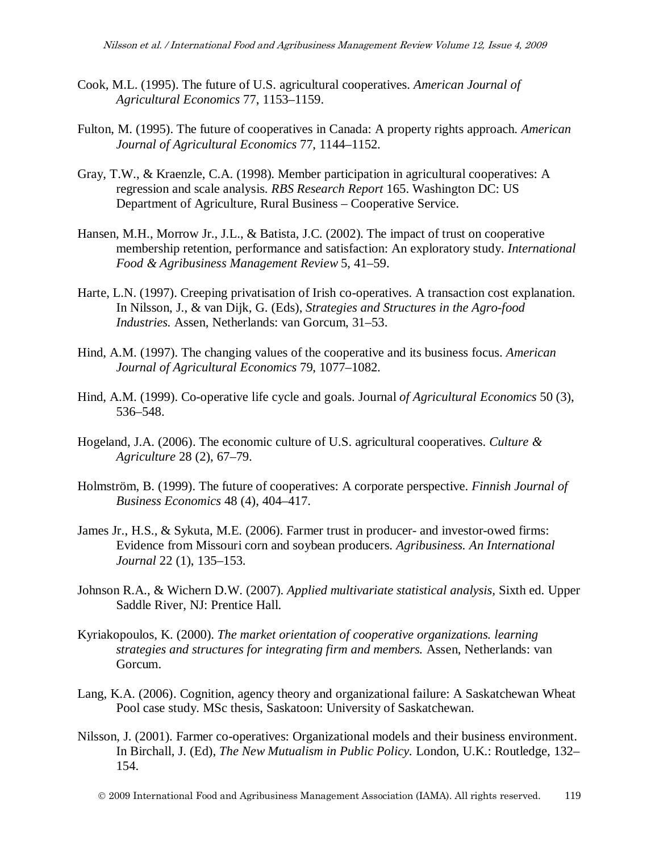- Cook, M.L. (1995). The future of U.S. agricultural cooperatives. *American Journal of Agricultural Economics* 77, 1153–1159.
- Fulton, M. (1995). The future of cooperatives in Canada: A property rights approach. *American Journal of Agricultural Economics* 77, 1144–1152.
- Gray, T.W., & Kraenzle, C.A. (1998). Member participation in agricultural cooperatives: A regression and scale analysis. *RBS Research Report* 165. Washington DC: US Department of Agriculture, Rural Business – Cooperative Service.
- Hansen, M.H., Morrow Jr., J.L., & Batista, J.C. (2002). The impact of trust on cooperative membership retention, performance and satisfaction: An exploratory study. *International Food & Agribusiness Management Review* 5, 41–59.
- Harte, L.N. (1997). Creeping privatisation of Irish co-operatives. A transaction cost explanation. In Nilsson, J., & van Dijk, G. (Eds), *Strategies and Structures in the Agro-food Industries.* Assen, Netherlands: van Gorcum, 31–53.
- Hind, A.M. (1997). The changing values of the cooperative and its business focus. *American Journal of Agricultural Economics* 79, 1077–1082.
- Hind, A.M. (1999). Co-operative life cycle and goals. Journal *of Agricultural Economics* 50 (3), 536–548.
- Hogeland, J.A. (2006). The economic culture of U.S. agricultural cooperatives. *Culture & Agriculture* 28 (2), 67–79.
- Holmström, B. (1999). The future of cooperatives: A corporate perspective. *Finnish Journal of Business Economics* 48 (4), 404–417.
- James Jr., H.S., & Sykuta, M.E. (2006). Farmer trust in producer- and investor-owed firms: Evidence from Missouri corn and soybean producers. *Agribusiness. An International Journal* 22 (1), 135–153.
- Johnson R.A., & Wichern D.W. (2007). *Applied multivariate statistical analysis,* Sixth ed. Upper Saddle River, NJ: Prentice Hall.
- Kyriakopoulos, K. (2000). *The market orientation of cooperative organizations. learning strategies and structures for integrating firm and members.* Assen, Netherlands: van Gorcum.
- Lang, K.A. (2006). Cognition, agency theory and organizational failure: A Saskatchewan Wheat Pool case study. MSc thesis, Saskatoon: University of Saskatchewan.
- Nilsson, J. (2001). Farmer co-operatives: Organizational models and their business environment. In Birchall, J. (Ed), *The New Mutualism in Public Policy.* London, U.K.: Routledge, 132– 154.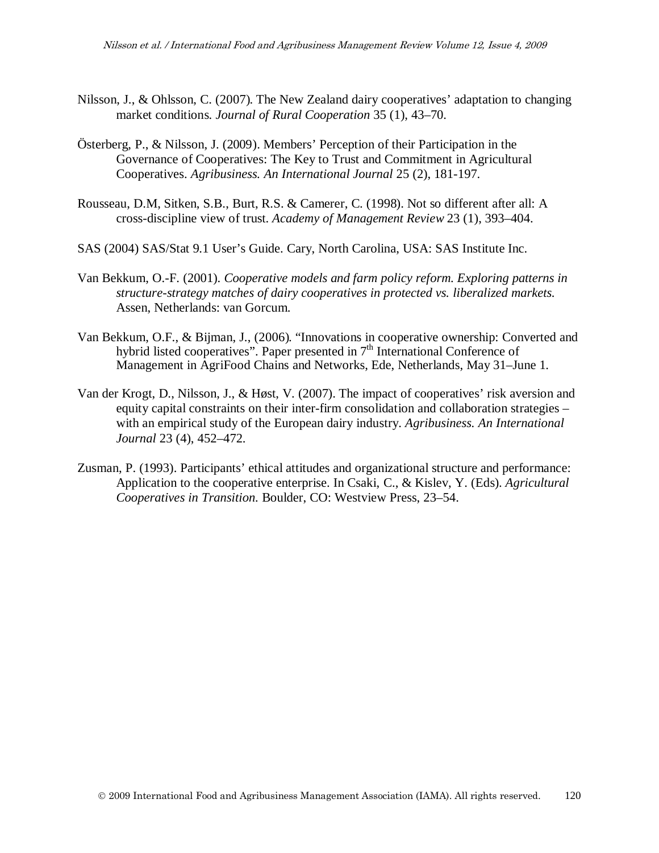- Nilsson, J., & Ohlsson, C. (2007). The New Zealand dairy cooperatives' adaptation to changing market conditions. *Journal of Rural Cooperation* 35 (1), 43–70.
- Österberg, P., & Nilsson, J. (2009). Members' Perception of their Participation in the Governance of Cooperatives: The Key to Trust and Commitment in Agricultural Cooperatives. *Agribusiness. An International Journal* 25 (2), 181-197.
- Rousseau, D.M, Sitken, S.B., Burt, R.S. & Camerer, C. (1998). Not so different after all: A cross-discipline view of trust. *Academy of Management Review* 23 (1), 393–404.
- SAS (2004) SAS/Stat 9.1 User's Guide. Cary, North Carolina, USA: SAS Institute Inc.
- Van Bekkum, O.-F. (2001). *Cooperative models and farm policy reform. Exploring patterns in structure-strategy matches of dairy cooperatives in protected vs. liberalized markets.* Assen, Netherlands: van Gorcum.
- Van Bekkum, O.F., & Bijman, J., (2006). "Innovations in cooperative ownership: Converted and hybrid listed cooperatives". Paper presented in  $7<sup>th</sup>$  International Conference of Management in AgriFood Chains and Networks, Ede, Netherlands, May 31–June 1.
- Van der Krogt, D., Nilsson, J., & Høst, V. (2007). The impact of cooperatives' risk aversion and equity capital constraints on their inter-firm consolidation and collaboration strategies – with an empirical study of the European dairy industry. *Agribusiness. An International Journal* 23 (4), 452–472.
- Zusman, P. (1993). Participants' ethical attitudes and organizational structure and performance: Application to the cooperative enterprise. In Csaki, C., & Kislev, Y. (Eds). *Agricultural Cooperatives in Transition.* Boulder, CO: Westview Press, 23–54.